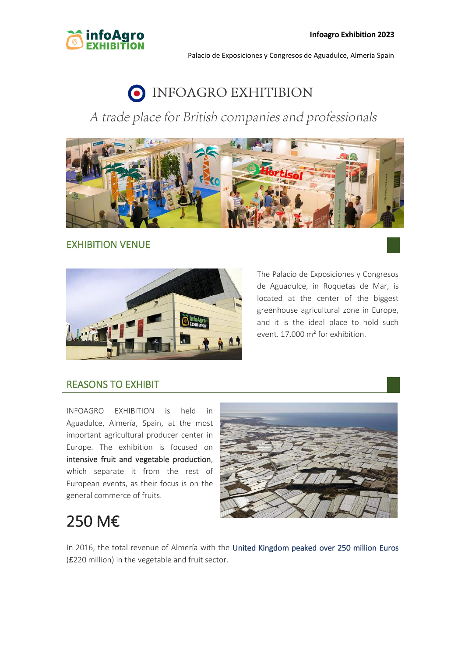

# O INFOAGRO EXHITIBION

### A trade place for British companies and professionals



### EXHIBITION VENUE



The Palacio de Exposiciones y Congresos de Aguadulce, in Roquetas de Mar, is located at the center of the biggest greenhouse agricultural zone in Europe, and it is the ideal place to hold such event. 17,000 m² for exhibition.

### REASONS TO EXHIBIT

INFOAGRO EXHIBITION is held in Aguadulce, Almería, Spain, at the most important agricultural producer center in Europe. The exhibition is focused on intensive fruit and vegetable production, which separate it from the rest of European events, as their focus is on the general commerce of fruits.



## 250 M€

In 2016, the total revenue of Almería with the United Kingdom peaked over 250 million Euros (£220 million) in the vegetable and fruit sector.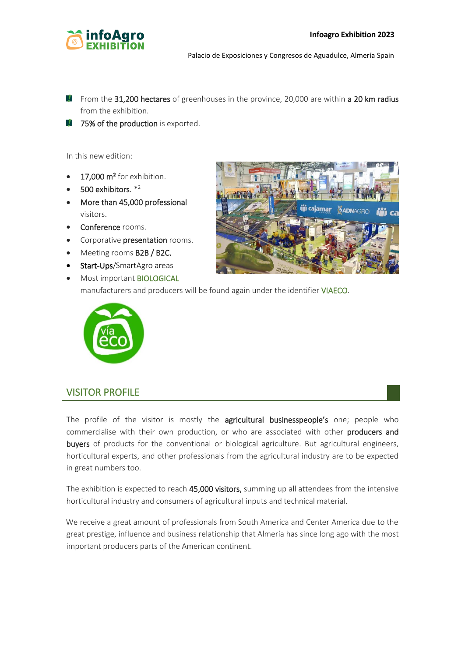

- **F** From the 31,200 hectares of greenhouses in the province, 20,000 are within a 20 km radius from the exhibition.
- $\blacksquare$  75% of the production is exported.

In this new edition:

- 17,000 m<sup>2</sup> for exhibition.
- $500$  exhibitors.  $*^2$
- More than 45,000 professional visitors.
- Conference rooms.
- Corporative presentation rooms.
- Meeting rooms **B2B / B2C.**
- Start-Ups/SmartAgro areas
- Most important **BIOLOGICAL**



manufacturers and producers will be found again under the identifier VIAECO.



### VISITOR PROFILE

The profile of the visitor is mostly the agricultural businesspeople's one; people who commercialise with their own production, or who are associated with other producers and buyers of products for the conventional or biological agriculture. But agricultural engineers, horticultural experts, and other professionals from the agricultural industry are to be expected in great numbers too.

The exhibition is expected to reach 45,000 visitors, summing up all attendees from the intensive horticultural industry and consumers of agricultural inputs and technical material.

We receive a great amount of professionals from South America and Center America due to the great prestige, influence and business relationship that Almería has since long ago with the most important producers parts of the American continent.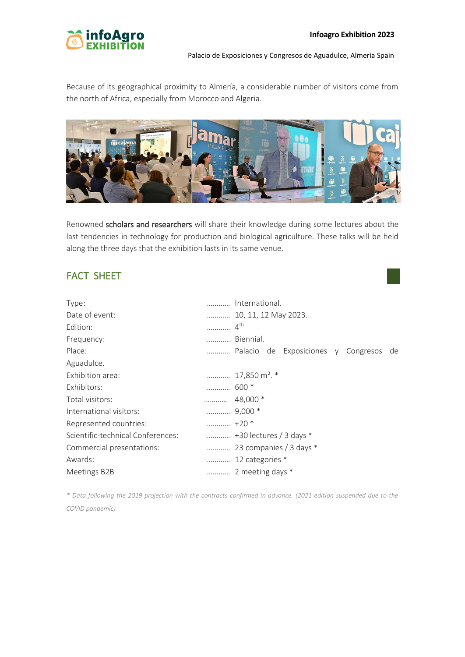

Because of its geographical proximity to Almería, a considerable number of visitors come from the north of Africa, especially from Morocco and Algeria.



Renowned scholars and researchers will share their knowledge during some lectures about the last tendencies in technology for production and biological agriculture. These talks will be held along the three days that the exhibition lasts in its same venue.

### FACT SHEET

| Type:                             |                  | International.                         |
|-----------------------------------|------------------|----------------------------------------|
| Date of event:                    |                  | 10, 11, 12 May 2023.                   |
| Edition:                          | .                | 4 <sup>th</sup>                        |
| Frequency:                        |                  | Biennial.                              |
| Place:                            |                  | Palacio de Exposiciones y Congresos de |
| Aguadulce.                        |                  |                                        |
| Exhibition area:                  |                  | 17,850 m <sup>2</sup> . *              |
| Exhibitors:                       |                  |                                        |
| Total visitors:                   | .                | 48,000 *                               |
| International visitors:           |                  |                                        |
| Represented countries:            | $\ldots$ +20 $*$ |                                        |
| Scientific-technical Conferences: |                  |                                        |
| Commercial presentations:         |                  | 23 companies / 3 days *                |
| Awards:                           |                  | 12 categories *                        |
| Meetings B2B                      |                  | 2 meeting days *                       |

*\* Data following the 2019 projection with the contracts confirmed in advance. (2021 edition suspended due to the COVID pandemic)*